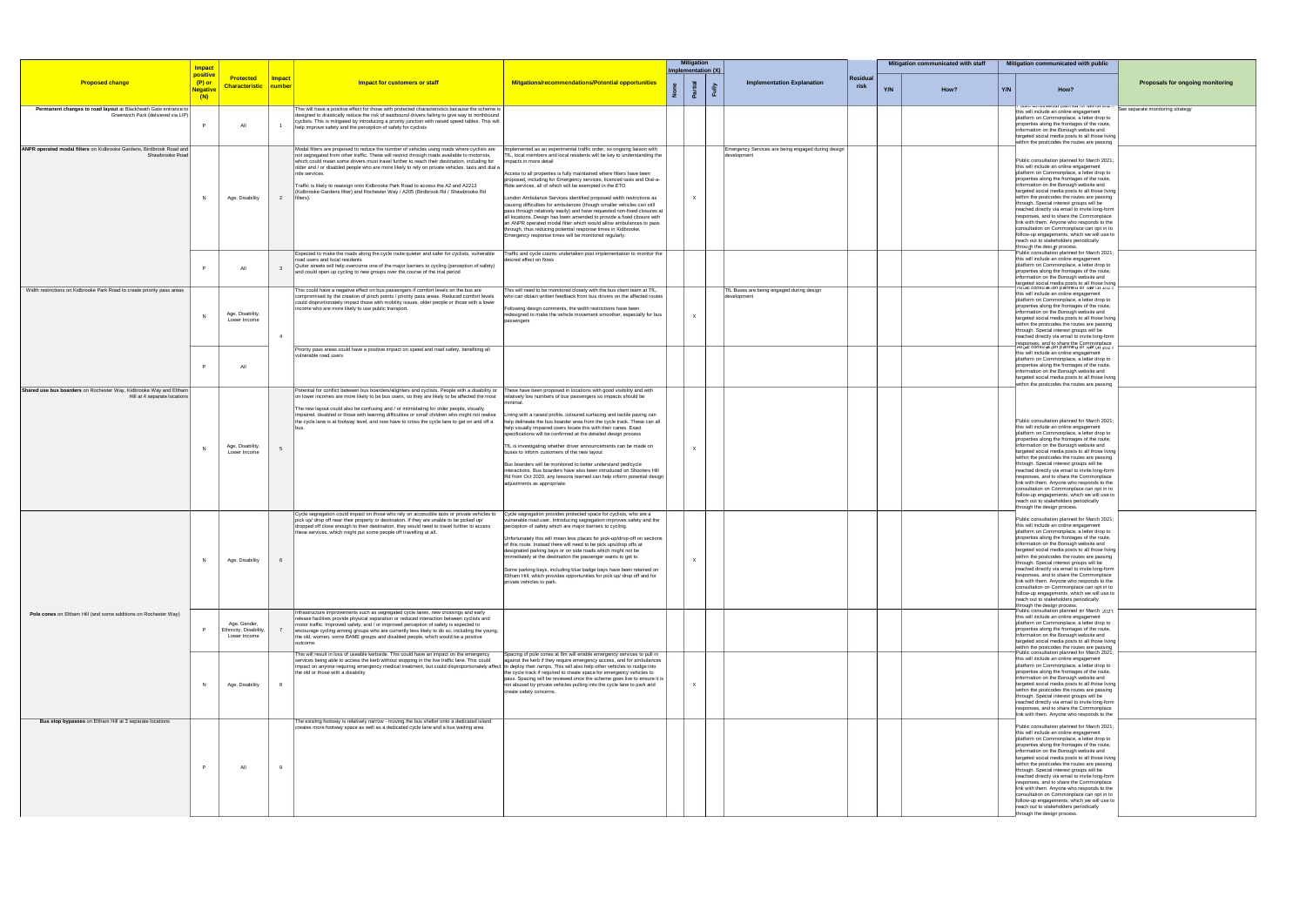|                                                                                                       | <b>Impact</b>                                  |                                                        |                         |                                                                                                                                                                                                                                                                                                                                                                                                                                                                                                                                                                                                       |                                                                                                                                                                                                                                                                                                                                                                                                                                                                                                                                                                                                                                                                                                                                                                                                                                                                                             |              | Mitigation<br>Implementation (X) |                                                                   |                         | Mitigation communicated with staff |      | Mitigation communicated with public                                                                                                                                                                                                                                                                                                                                                                                                                                                                                                                                                                                                                                                                                                   |                                         |  |
|-------------------------------------------------------------------------------------------------------|------------------------------------------------|--------------------------------------------------------|-------------------------|-------------------------------------------------------------------------------------------------------------------------------------------------------------------------------------------------------------------------------------------------------------------------------------------------------------------------------------------------------------------------------------------------------------------------------------------------------------------------------------------------------------------------------------------------------------------------------------------------------|---------------------------------------------------------------------------------------------------------------------------------------------------------------------------------------------------------------------------------------------------------------------------------------------------------------------------------------------------------------------------------------------------------------------------------------------------------------------------------------------------------------------------------------------------------------------------------------------------------------------------------------------------------------------------------------------------------------------------------------------------------------------------------------------------------------------------------------------------------------------------------------------|--------------|----------------------------------|-------------------------------------------------------------------|-------------------------|------------------------------------|------|---------------------------------------------------------------------------------------------------------------------------------------------------------------------------------------------------------------------------------------------------------------------------------------------------------------------------------------------------------------------------------------------------------------------------------------------------------------------------------------------------------------------------------------------------------------------------------------------------------------------------------------------------------------------------------------------------------------------------------------|-----------------------------------------|--|
| <b>Proposed change</b>                                                                                | positive<br>$(P)$ or<br><u>Negative</u><br>(N) | <b>Protected</b><br><b>Characteristic</b>              | <b>Impact</b><br>number | Impact for customers or staff                                                                                                                                                                                                                                                                                                                                                                                                                                                                                                                                                                         | Mitgations/recommendations/Potential opportunities                                                                                                                                                                                                                                                                                                                                                                                                                                                                                                                                                                                                                                                                                                                                                                                                                                          |              |                                  | <b>Implementation Explanation</b>                                 | <b>Residual</b><br>risk | Y/N                                | How? | Y/N<br>How?                                                                                                                                                                                                                                                                                                                                                                                                                                                                                                                                                                                                                                                                                                                           | <b>Proposals for ongoing monitoring</b> |  |
| Permanent changes to road layout at Blackheath Gate entrance to<br>Greenwich Park (delivered via LIP) | P                                              | All                                                    |                         | This will have a positive effect for those with protected characteristics because the scheme is<br>designed to drastically reduce the risk of eastbound drivers failing to give way to northbound<br>cyclists. This is mitigated by introducing a priority junction with raised speed tables. This will<br>help improve safety and the perception of safety for cyclists                                                                                                                                                                                                                              |                                                                                                                                                                                                                                                                                                                                                                                                                                                                                                                                                                                                                                                                                                                                                                                                                                                                                             |              |                                  |                                                                   |                         |                                    |      | this will include an online engagement<br>platform on Commonplace, a letter drop to<br>properties along the frontages of the route,<br>information on the Borough website and<br>targeted social media posts to all those living<br>within the postcodes the routes are passing                                                                                                                                                                                                                                                                                                                                                                                                                                                       | See separate monitoring strategy        |  |
| ANPR operated modal filters on Kidbrooke Gardens, Birdbrook Road and<br>Shawbrooke Road               | N                                              | Age, Disability                                        | $\overline{2}$          | Modal filters are proposed to reduce the number of vehicles using roads where cyclists are<br>not segregated from other traffic. These will restrict through roads available to motorists,<br>which could mean some drivers must travel further to reach their destination, including for<br>older and / or disabled people who are more likely to rely on private vehicles, taxis and dial a<br>ride services.<br>Traffic is likely to reassign onto Kidbrooke Park Road to access the A2 and A2213<br>(Kidbrooke Gardens filter) and Rochester Way / A205 (Birdbrook Rd / Shawbrooke Rd<br>filters) | Implemented as an experimental traffic order, so ongoing liaison with<br>L, local members and local residents will be key to understanding the<br>npacts in more detail<br>Access to all properties is fully maintained where filters have been<br>proposed, including for Emergency services, licenced taxis and Dial-a-<br>Ride services, all of which will be exempted in the ETO<br>London Ambulance Services identified proposed width restrictions as<br>causing difficulties for ambulances (though smaller vehicles can still<br>pass through relatively easily) and have requested non-fixed closures at<br>all locations. Design has been amended to provide a fixed closure with<br>an ANPR operated modal filter which would allow ambulances to pass<br>through, thus reducing potential response times in Kidbrooke.<br>Emergency response times will be monitored regularly. | $\mathsf{x}$ |                                  | Emergency Services are being engaged during design<br>development |                         |                                    |      | Public consultation planned for March 2021<br>this will include an online engagement<br>platform on Commonplace, a letter drop to<br>properties along the frontages of the route,<br>information on the Borough website and<br>targeted social media posts to all those living<br>within the postcodes the routes are passing<br>through. Special interest groups will be<br>reached directly via email to invite long-form<br>responses, and to share the Commonplace<br>link with them. Anyone who responds to the<br>consultation on Commonplace can opt in to<br>follow-up engagements, which we will use to<br>reach out to stakeholders periodically<br>through the design process.                                             |                                         |  |
|                                                                                                       |                                                | All                                                    |                         | Expected to make the roads along the cycle route quieter and safer for cyclists, vulnerable<br>road users and local residents<br>Quiter streets will help overcome one of the major barriers to cycling (perception of safety)<br>and could open up cycling to new groups over the course of the trial period                                                                                                                                                                                                                                                                                         | Traffic and cycle counts undertaken post implementation to monitor the<br>sired effect on flows                                                                                                                                                                                                                                                                                                                                                                                                                                                                                                                                                                                                                                                                                                                                                                                             |              |                                  |                                                                   |                         |                                    |      | Public consultation planned for March 2021<br>this will include an online engagement<br>platform on Commonplace, a letter drop to<br>properties along the frontages of the route,<br>information on the Borough website and<br>targeted social media posts to all those living<br>rubile consultation planned for waren zuz i;                                                                                                                                                                                                                                                                                                                                                                                                        |                                         |  |
| Width restrictions on Kidbrooke Park Road to create priority pass areas                               | N                                              | Age, Disability,<br>Lower Income                       |                         | This could have a negative effect on bus passengers if comfort levels on the bus are<br>compromised by the creation of pinch points / priority pass areas. Reduced comfort levels<br>could disprortionately impact those with mobility issues, older people or those with a lower<br>income who are more likely to use public transport.                                                                                                                                                                                                                                                              | his will need to be monitored closely with the bus client team at TfL,<br>who can obtain written feedback from bus drivers on the affected routes<br>Following design comments, the width restrictions have been<br>redesigned to make the vehicle movement smoother, especially for bus<br>assengers                                                                                                                                                                                                                                                                                                                                                                                                                                                                                                                                                                                       | $\times$     |                                  | TfL Buses are being engaged during design<br>development          |                         |                                    |      | this will include an online engagement<br>platform on Commonplace, a letter drop to<br>properties along the frontages of the route,<br>information on the Borough website and<br>targeted social media posts to all those living<br>within the postcodes the routes are passing<br>through. Special interest groups will be<br>reached directly via email to invite long-form<br>responses, and to share the Commonplace<br>rubile consuliation planneu for waren zive it                                                                                                                                                                                                                                                             |                                         |  |
|                                                                                                       |                                                | All                                                    |                         | Priority pass areas could have a positive impact on speed and road safety, benefiting all<br>vulnerable road users                                                                                                                                                                                                                                                                                                                                                                                                                                                                                    |                                                                                                                                                                                                                                                                                                                                                                                                                                                                                                                                                                                                                                                                                                                                                                                                                                                                                             |              |                                  |                                                                   |                         |                                    |      | this will include an online engagement<br>platform on Commonplace, a letter drop to<br>properties along the frontages of the route,<br>information on the Borough website and<br>targeted social media posts to all those living<br>within the postcodes the routes are passing                                                                                                                                                                                                                                                                                                                                                                                                                                                       |                                         |  |
| Shared use bus boarders on Rochester Way, Kidbrooke Way and Eltham<br>Hill at 4 separate locations    | N                                              | Age, Disability,<br>Lower Income                       |                         | Potential for conflict between bus boarders/alighters and cyclists. People with a disability or<br>on lower incomes are more likely to be bus users, so they are likely to be affected the most relatively low numbers of bus passengers so impacts should be<br>The new layout could also be confusing and / or intimidating for older people, visually<br>impaired, disabled or those with learning difficulties or small children who might not realise<br>the cycle lane is at footway level, and now have to cross the cycle lane to get on and off a                                            | These have been proposed in locations with good visibility and with<br>inimal<br>Lining with a raised profile, coloured surfacing and tactile paving can<br>help delineate the bus boarder area from the cycle track. These can all<br>help visually impaired users locate this with their canes. Exact<br>specifications will be confirmed at the detailed design process<br>TfL is investigating whether driver announcements can be made on<br>buses to inform customers of the new layout<br>Bus boarders will be monitored to better understand ped/cycle<br>interactions. Bus boarders have also been introduced on Shooters Hill<br>Rd from Oct 2020, any lessons learned can help inform potential design<br>adjustments as appropriate.                                                                                                                                            | $\mathsf{x}$ |                                  |                                                                   |                         |                                    |      | Public consultation planned for March 2021<br>this will include an online engagement<br>platform on Commonplace, a letter drop to<br>properties along the frontages of the route,<br>information on the Borough website and<br>targeted social media posts to all those living<br>within the postcodes the routes are passing<br>through. Special interest groups will be<br>reached directly via email to invite long-form<br>responses, and to share the Commonplace<br>link with them. Anyone who responds to the<br>consultation on Commonplace can opt in to<br>follow-up engagements, which we will use to<br>reach out to stakeholders periodically<br>through the design process.                                             |                                         |  |
|                                                                                                       |                                                | Age, Disability                                        | 6                       | Cycle segregation could impact on those who rely on accessible taxis or private vehicles to<br>pick up/ drop off near their property or destination. If they are unable to be picked up/<br>dropped off close enough to their destination, they would need to travel further to access<br>these services, which might put some people off travelling at all.                                                                                                                                                                                                                                          | Cycle segregation provides protected space for cyclists, who are a<br>ulnerable road user. Introducing segregation improves safety and the<br>perception of safety which are major barriers to cycling.<br>Unfortunately this will mean less places for pick-up/drop-off on sections<br>of this route. Instead there will need to be pick ups/drop offs at<br>signated parking bays or on side roads which might not be<br>immediately at the destination the passenger wants to get to.<br>Some parking bays, including blue badge bays have been retained on<br>Eltham Hill, which provides opportunities for pick up/ drop off and for<br>private vehicles to park.                                                                                                                                                                                                                      | $\times$     |                                  |                                                                   |                         |                                    |      | Public consultation planned for March 2021<br>this will include an online engagement<br>platform on Commonplace, a letter drop to<br>properties along the frontages of the route,<br>information on the Borough website and<br>rgeted social media posts to all those living<br>within the postcodes the routes are passing<br>through. Special interest groups will be<br>reached directly via email to invite long-form<br>responses, and to share the Commonplace<br>link with them. Anyone who responds to the<br>consultation on Commonplace can opt in to<br>follow-up engagements, which we will use to<br>reach out to stakeholders periodically<br>through the design process.<br>Public consultation planned for March 2021 |                                         |  |
| Pole cones on Eltham Hill (and some additions on Rochester Way)                                       |                                                | Age, Gender,<br>Ethnicity, Disability,<br>Lower Income | $\overline{7}$          | Infrastructure improvements such as segregated cycle lanes, new crossings and early<br>release facilities provide physical separation or reduced interaction between cyclists and<br>motor traffic. Improved safety, and / or improved perception of safety is expected to<br>encourage cycling among groups who are currently less likely to do so, including the young,<br>the old, women, some BAME groups and disabled people, which would be a positive<br>Inutcome.                                                                                                                             |                                                                                                                                                                                                                                                                                                                                                                                                                                                                                                                                                                                                                                                                                                                                                                                                                                                                                             |              |                                  |                                                                   |                         |                                    |      | this will include an online engagement<br>platform on Commonplace, a letter drop to<br>properties along the frontages of the route,<br>information on the Borough website and<br>targeted social media posts to all those living<br>within the postcodes the routes are passing                                                                                                                                                                                                                                                                                                                                                                                                                                                       |                                         |  |
|                                                                                                       | N                                              | Age, Disability                                        | 8                       | This will result in loss of useable kerbside. This could have an impact on the emergency<br>services being able to access the kerb without stopping in the live traffic lane. This could<br>impact on anyone requiring emergency medical treatment, but could disproportionately affect to deploy their ramps. This will also help other vehicles to nudge into<br>the old or those with a disability                                                                                                                                                                                                 | Spacing of pole cones at 8m will enable emergency services to pull in<br>against the kerb if they require emergency access, and for ambulances<br>the cycle track if required to create space for emergency vehicles to<br>pass. Spacing will be reviewed once the scheme goes live to ensure it is<br>not abused by private vehicles pulling into the cycle lane to park and<br>create safety concerns.                                                                                                                                                                                                                                                                                                                                                                                                                                                                                    | $\times$     |                                  |                                                                   |                         |                                    |      | Public consultation planned for March 2021<br>this will include an online engagement<br>platform on Commonplace, a letter drop to<br>properties along the frontages of the route,<br>information on the Borough website and<br>targeted social media posts to all those living<br>within the postcodes the routes are passing<br>through. Special interest groups will be<br>reached directly via email to invite long-form<br>responses, and to share the Commonplace<br>link with them. Anyone who responds to the                                                                                                                                                                                                                  |                                         |  |
| Bus stop bypasses on Eltham Hill at 3 separate locations                                              |                                                | All                                                    | -9                      | The exisitng footway is relatively narrow - moving the bus shelter onto a dedicated island<br>creates more footway space as well as a dedicated cycle lane and a bus waiting area                                                                                                                                                                                                                                                                                                                                                                                                                     |                                                                                                                                                                                                                                                                                                                                                                                                                                                                                                                                                                                                                                                                                                                                                                                                                                                                                             |              |                                  |                                                                   |                         |                                    |      | Public consultation planned for March 2021<br>this will include an online engagement<br>platform on Commonplace, a letter drop to<br>properties along the frontages of the route,<br>information on the Borough website and<br>targeted social media posts to all those living<br>within the postcodes the routes are passing<br>through. Special interest groups will be<br>reached directly via email to invite long-form<br>responses, and to share the Commonplace<br>link with them. Anyone who responds to the<br>consultation on Commonplace can opt in to<br>follow-up engagements, which we will use to<br>reach out to stakeholders periodically<br>hrough the design process.                                              |                                         |  |